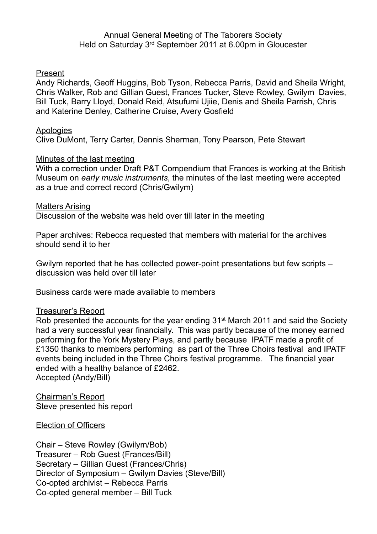### Annual General Meeting of The Taborers Society Held on Saturday 3rd September 2011 at 6.00pm in Gloucester

### Present

Andy Richards, Geoff Huggins, Bob Tyson, Rebecca Parris, David and Sheila Wright, Chris Walker, Rob and Gillian Guest, Frances Tucker, Steve Rowley, Gwilym Davies, Bill Tuck, Barry Lloyd, Donald Reid, Atsufumi Ujiie, Denis and Sheila Parrish, Chris and Katerine Denley, Catherine Cruise, Avery Gosfield

### Apologies

Clive DuMont, Terry Carter, Dennis Sherman, Tony Pearson, Pete Stewart

### Minutes of the last meeting

With a correction under Draft P&T Compendium that Frances is working at the British Museum on *early music instruments*, the minutes of the last meeting were accepted as a true and correct record (Chris/Gwilym)

#### Matters Arising

Discussion of the website was held over till later in the meeting

Paper archives: Rebecca requested that members with material for the archives should send it to her

Gwilym reported that he has collected power-point presentations but few scripts – discussion was held over till later

Business cards were made available to members

### Treasurer's Report

Rob presented the accounts for the year ending 31st March 2011 and said the Society had a very successful year financially. This was partly because of the money earned performing for the York Mystery Plays, and partly because IPATF made a profit of £1350 thanks to members performing as part of the Three Choirs festival and IPATF events being included in the Three Choirs festival programme. The financial year ended with a healthy balance of £2462. Accepted (Andy/Bill)

Chairman's Report Steve presented his report

### Election of Officers

Chair – Steve Rowley (Gwilym/Bob) Treasurer – Rob Guest (Frances/Bill) Secretary – Gillian Guest (Frances/Chris) Director of Symposium – Gwilym Davies (Steve/Bill) Co-opted archivist – Rebecca Parris Co-opted general member – Bill Tuck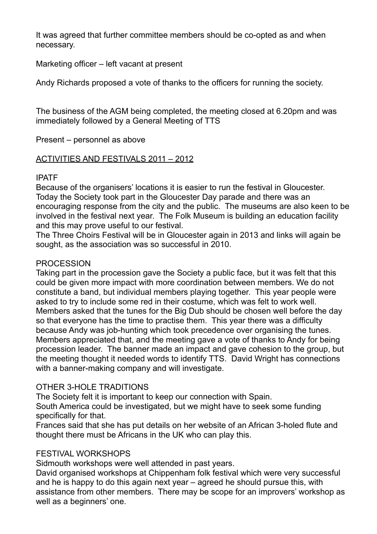It was agreed that further committee members should be co-opted as and when necessary.

Marketing officer – left vacant at present

Andy Richards proposed a vote of thanks to the officers for running the society.

The business of the AGM being completed, the meeting closed at 6.20pm and was immediately followed by a General Meeting of TTS

Present – personnel as above

## ACTIVITIES AND FESTIVALS 2011 – 2012

# IPATF

Because of the organisers' locations it is easier to run the festival in Gloucester. Today the Society took part in the Gloucester Day parade and there was an encouraging response from the city and the public. The museums are also keen to be involved in the festival next year. The Folk Museum is building an education facility and this may prove useful to our festival.

The Three Choirs Festival will be in Gloucester again in 2013 and links will again be sought, as the association was so successful in 2010.

# **PROCESSION**

Taking part in the procession gave the Society a public face, but it was felt that this could be given more impact with more coordination between members. We do not constitute a band, but individual members playing together. This year people were asked to try to include some red in their costume, which was felt to work well. Members asked that the tunes for the Big Dub should be chosen well before the day so that everyone has the time to practise them. This year there was a difficulty because Andy was job-hunting which took precedence over organising the tunes. Members appreciated that, and the meeting gave a vote of thanks to Andy for being procession leader. The banner made an impact and gave cohesion to the group, but the meeting thought it needed words to identify TTS. David Wright has connections with a banner-making company and will investigate.

## OTHER 3-HOLE TRADITIONS

The Society felt it is important to keep our connection with Spain.

South America could be investigated, but we might have to seek some funding specifically for that.

Frances said that she has put details on her website of an African 3-holed flute and thought there must be Africans in the UK who can play this.

# FESTIVAL WORKSHOPS

Sidmouth workshops were well attended in past years.

David organised workshops at Chippenham folk festival which were very successful and he is happy to do this again next year – agreed he should pursue this, with assistance from other members. There may be scope for an improvers' workshop as well as a beginners' one.